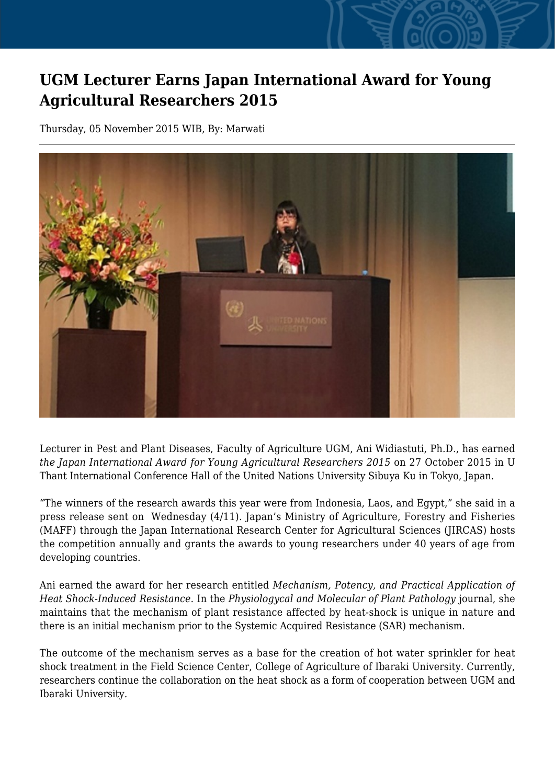## **UGM Lecturer Earns Japan International Award for Young Agricultural Researchers 2015**

Thursday, 05 November 2015 WIB, By: Marwati



Lecturer in Pest and Plant Diseases, Faculty of Agriculture UGM, Ani Widiastuti, Ph.D., has earned *the Japan International Award for Young Agricultural Researchers 2015* on 27 October 2015 in U Thant International Conference Hall of the United Nations University Sibuya Ku in Tokyo, Japan.

"The winners of the research awards this year were from Indonesia, Laos, and Egypt," she said in a press release sent on Wednesday (4/11). Japan's Ministry of Agriculture, Forestry and Fisheries (MAFF) through the Japan International Research Center for Agricultural Sciences (JIRCAS) hosts the competition annually and grants the awards to young researchers under 40 years of age from developing countries.

Ani earned the award for her research entitled *Mechanism, Potency, and Practical Application of Heat Shock-Induced Resistance.* In the *Physiologycal and Molecular of Plant Pathology* journal, she maintains that the mechanism of plant resistance affected by heat-shock is unique in nature and there is an initial mechanism prior to the Systemic Acquired Resistance (SAR) mechanism.

The outcome of the mechanism serves as a base for the creation of hot water sprinkler for heat shock treatment in the Field Science Center, College of Agriculture of Ibaraki University. Currently, researchers continue the collaboration on the heat shock as a form of cooperation between UGM and Ibaraki University.